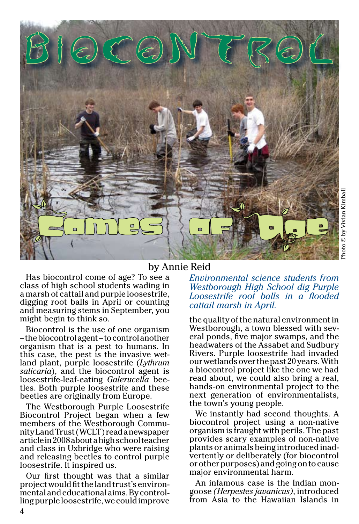

#### by Annie Reid

Has biocontrol come of age? To see a class of high school students wading in a marsh of cattail and purple loosestrife, digging root balls in April or counting and measuring stems in September, you might begin to think so.

Biocontrol is the use of one organism – the biocontrol agent – to control another organism that is a pest to humans. In this case, the pest is the invasive wet- land plant, purple loosestrife (*Lythrum salicaria*), and the biocontrol agent is loosestrife-leaf-eating *Galerucella* bee- tles. Both purple loosestrife and these beetles are originally from Europe.

The Westborough Purple Loosestrife Biocontrol Project began when a few members of the Westborough Community Land Trust (WCLT) read a newspaper article in 2008 about a high school teacher and class in Uxbridge who were raising and releasing beetles to control purple loosestrife. It inspired us.

Our first thought was that a similar project would fit the land trust's environmental and educational aims. By controlling purple loosestrife, we could improve

#### *Environmental science students from Westborough High School dig Purple Loosestrife root balls in a flooded cattail marsh in April.*

the quality of the natural environment in Westborough, a town blessed with several ponds, five major swamps, and the headwaters of the Assabet and Sudbury Rivers. Purple loosestrife had invaded our wetlands over the past 20 years. With a biocontrol project like the one we had read about, we could also bring a real, hands-on environmental project to the next generation of environmentalists, the town's young people.

We instantly had second thoughts. A biocontrol project using a non-native organism is fraught with perils. The past provides scary examples of non-native plants or animals being introduced inadvertently or deliberately (for biocontrol or other purposes) and going on to cause major environmental harm.

An infamous case is the Indian mon- goose *(Herpestes javanicus)*, introduced from Asia to the Hawaiian Islands in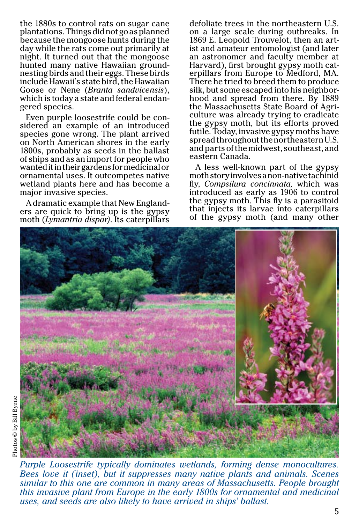the 1880s to control rats on sugar cane plantations. Things did not go as planned because the mongoose hunts during the day while the rats come out primarily at night. It turned out that the mongoose hunted many native Hawaiian groundnesting birds and their eggs. These birds include Hawaii's state bird, the Hawaiian Goose or Nene (*Branta sandvicensis*), which is today a state and federal endan- gered species.

Even purple loosestrife could be considered an example of an introduced species gone wrong. The plant arrived on North American shores in the early 1800s, probably as seeds in the ballast of ships and as an import for people who wanted it in their gardens for medicinal or ornamental uses. It outcompetes native wetland plants here and has become a major invasive species.

A dramatic example that New Englanders are quick to bring up is the gypsy moth (*Lymantria dispar)*. Its caterpillars

defoliate trees in the northeastern U.S. on a large scale during outbreaks. In 1869 E. Leopold Trouvelot, then an art- ist and amateur entomologist (and later an astronomer and faculty member at Harvard), first brought gypsy moth cat- erpillars from Europe to Medford, MA. There he tried to breed them to produce silk, but some escaped into his neighbor- hood and spread from there. By 1889 the Massachusetts State Board of Agri- culture was already trying to eradicate the gypsy moth, but its efforts proved futile. Today, invasive gypsy moths have spread throughout the northeastern U.S. and parts of the midwest, southeast, and eastern Canada.

A less well-known part of the gypsy moth story involves a non-native tachinid fly, *Compsilura concinnata,* which was introduced as early as 1906 to control the gypsy moth. This fly is a parasitoid that injects its larvae into caterpillars of the gypsy moth (and many other



*Purple Loosestrife typically dominates wetlands, forming dense monocultures. Bees love it (inset), but it suppresses many native plants and animals. Scenes similar to this one are common in many areas of Massachusetts. People brought this invasive plant from Europe in the early 1800s for ornamental and medicinal uses, and seeds are also likely to have arrived in ships' ballast.*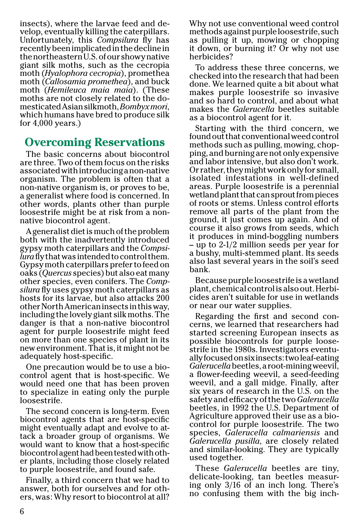insects), where the larvae feed and de- velop, eventually killing the caterpillars. Unfortunately, this *Compsilura* fly has recently been implicated in the decline in the northeastern U.S. of our showy native giant silk moths, such as the cecropia moth (*Hyalophora cecropia*), promethea moth (*Callosamia promethea*), and buck moth (*Hemileuca maia maia*). (These moths are not closely related to the do- mesticated Asian silkmoth, *Bombyx mori*, which humans have bred to produce silk for 4,000 years.)

# **Overcoming Reservations**

The basic concerns about biocontrol are three. Two of them focus on the risks associated with introducing a non-native organism. The problem is often that a non-native organism is, or proves to be, a generalist where food is concerned. In other words, plants other than purple loosestrife might be at risk from a nonnative biocontrol agent.

A generalist diet is much of the problem both with the inadvertently introduced gypsy moth caterpillars and the *Compsilura* fly that was intended to control them. Gypsy moth caterpillars prefer to feed on oaks (*Quercus* species) but also eat many other species, even conifers. The *Compsilura* fly uses gypsy moth caterpillars as hosts for its larvae, but also attacks 200 other North American insects in this way, including the lovely giant silk moths. The danger is that a non-native biocontrol agent for purple loosestrife might feed on more than one species of plant in its new environment. That is, it might not be adequately host-specific.

One precaution would be to use a bio- control agent that is host-specific. We would need one that has been proven to specialize in eating only the purple loosestrife.

The second concern is long-term. Even biocontrol agents that are host-specific might eventually adapt and evolve to attack a broader group of organisms. We would want to know that a host-specific biocontrol agent had been tested with other plants, including those closely related to purple loosestrife, and found safe.

Finally, a third concern that we had to answer, both for ourselves and for others, was: Why resort to biocontrol at all?

Why not use conventional weed control methods against purple loosestrife, such as pulling it up, mowing or chopping it down, or burning it? Or why not use herbicides?

To address these three concerns, we checked into the research that had been done. We learned quite a bit about what makes purple loosestrife so invasive and so hard to control, and about what makes the *Galerucella* beetles suitable as a biocontrol agent for it.

Starting with the third concern, we found out that conventional weed control methods such as pulling, mowing, chopping, and burning are not only expensive and labor intensive, but also don't work. Or rather, they might work only for small, isolated infestations in well-defined areas. Purple loosestrife is a perennial wetland plant that can sprout from pieces of roots or stems. Unless control efforts remove all parts of the plant from the ground, it just comes up again. And of course it also grows from seeds, which it produces in mind-boggling numbers – up to 2-1/2 million seeds per year for a bushy, multi-stemmed plant. Its seeds also last several years in the soil's seed bank.

Because purple loosestrife is a wetland plant, chemical control is also out. Herbicides aren't suitable for use in wetlands or near our water supplies.

Regarding the first and second concerns, we learned that researchers had started screening European insects as possible biocontrols for purple loosestrife in the 1980s. Investigators eventually focused on six insects: two leaf-eating *Galerucella* beetles, a root-mining weevil, a flower-feeding weevil, a seed-feeding weevil, and a gall midge. Finally, after six years of research in the U.S. on the safety and efficacy of the two *Galerucella* beetles, in 1992 the U.S. Department of Agriculture approved their use as a biocontrol for purple loosestrife. The two species, *Galerucella calmariensis* and *Galerucella pusilla*, are closely related and similar-looking. They are typically used together.

These *Galerucella* beetles are tiny, delicate-looking, tan beetles measuring only 3/16 of an inch long. There's no confusing them with the big inch-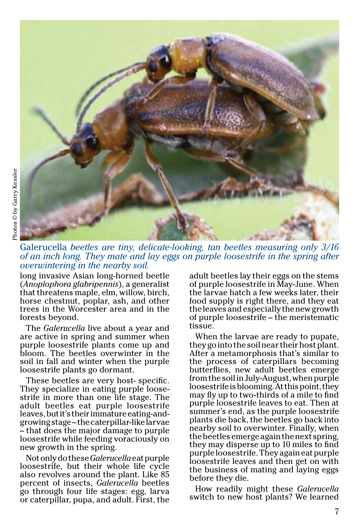

Galerucella *beetles are tiny, delicate-looking, tan beetles measuring only 3/16 of an inch long. They mate and lay eggs on purple loosestrife in the spring after overwintering in the nearby soil.*

long invasive Asian long-horned beetle (*Anoplophora glabripennis*), a generalist that threatens maple, elm, willow, birch, horse chestnut, poplar, ash, and other trees in the Worcester area and in the forests beyond.

The *Galerucella* live about a year and are active in spring and summer when purple loosestrife plants come up and bloom. The beetles overwinter in the soil in fall and winter when the purple loosestrife plants go dormant.

These beetles are very host- specific. They specialize in eating purple loose- strife in more than one life stage. The adult beetles eat purple loosestrife leaves, but it's their immature eating-andgrowing stage – the caterpillar-like larvae – that does the major damage to purple loosestrife while feeding voraciously on new growth in the spring.

Not only do these *Galerucella* eat purple loosestrife, but their whole life cycle also revolves around the plant. Like 85 percent of insects, *Galerucella* beetles go through four life stages: egg, larva or caterpillar, pupa, and adult. First, the

adult beetles lay their eggs on the stems of purple loosestrife in May-June. When the larvae hatch a few weeks later, their food supply is right there, and they eat the leaves and especially the new growth of purple loosestrife – the meristematic tissue.

When the larvae are ready to pupate, they go into the soil near their host plant. After a metamorphosis that's similar to the process of caterpillars becoming butterflies, new adult beetles emerge from the soil in July-August, when purple loosestrife is blooming. At this point, they may fly up to two-thirds of a mile to find purple loosestrife leaves to eat. Then at summer's end, as the purple loosestrife plants die back, the beetles go back into nearby soil to overwinter. Finally, when the beetles emerge again the next spring, they may disperse up to 10 miles to find purple loosestrife. They again eat purple loosestrife leaves and then get on with the business of mating and laying eggs before they die.

How readily might these *Galerucella* switch to new host plants? We learned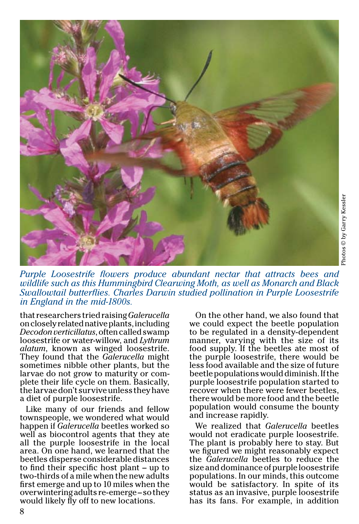![](_page_4_Picture_0.jpeg)

![](_page_4_Picture_1.jpeg)

*Purple Loosestrife flowers produce abundant nectar that attracts bees and wildlife such as this Hummingbird Clearwing Moth, as well as Monarch and Black Swallowtail butterflies. Charles Darwin studied pollination in Purple Loosestrife in England in the mid-1800s.*

that researchers tried raising *Galerucella*  on closely related native plants, including *Decodon verticillatus*, often called swamp loosestrife or water-willow, and *Lythrum alatum*, known as winged loosestrife. They found that the *Galerucella* might sometimes nibble other plants, but the larvae do not grow to maturity or complete their life cycle on them. Basically, the larvae don't survive unless they have a diet of purple loosestrife.

Like many of our friends and fellow townspeople, we wondered what would happen if *Galerucella* beetles worked so well as biocontrol agents that they ate all the purple loosestrife in the local area. On one hand, we learned that the beetles disperse considerable distances to find their specific host plant – up to two-thirds of a mile when the new adults first emerge and up to 10 miles when the overwintering adults re-emerge – so they would likely fly off to new locations.

On the other hand, we also found that we could expect the beetle population to be regulated in a density-dependent manner, varying with the size of its food supply. If the beetles ate most of the purple loosestrife, there would be less food available and the size of future beetle populations would diminish. If the purple loosestrife population started to recover when there were fewer beetles, there would be more food and the beetle population would consume the bounty and increase rapidly.

We realized that *Galerucella* beetles would not eradicate purple loosestrife. The plant is probably here to stay. But we figured we might reasonably expect the *Galerucella* beetles to reduce the size and dominance of purple loosestrife populations. In our minds, this outcome would be satisfactory. In spite of its status as an invasive, purple loosestrife has its fans. For example, in addition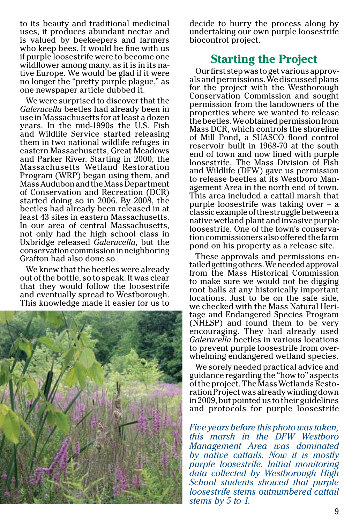to its beauty and traditional medicinal uses, it produces abundant nectar and is valued by beekeepers and farmers who keep bees. It would be fine with us if purple loosestrife were to become one wildflower among many, as it is in its na- tive Europe. We would be glad if it were no longer the "pretty purple plague," as one newspaper article dubbed it.

We were surprised to discover that the *Galerucella* beetles had already been in use in Massachusetts for at least a dozen years. In the mid-1990s the U.S. Fish and Wildlife Service started releasing them in two national wildlife refuges in eastern Massachusetts, Great Meadows and Parker River. Starting in 2000, the Massachusetts Wetland Restoration Program (WRP) began using them, and Mass Audubon and the Mass Department of Conservation and Recreation (DCR) started doing so in 2006. By 2008, the beetles had already been released in at least 43 sites in eastern Massachusetts. In our area of central Massachusetts, not only had the high school class in Uxbridge released *Galerucella*, but the conservation commission in neighboring Grafton had also done so.

We knew that the beetles were already out of the bottle, so to speak. It was clear that they would follow the loosestrife and eventually spread to Westborough. This knowledge made it easier for us to

![](_page_5_Picture_3.jpeg)

decide to hurry the process along by undertaking our own purple loosestrife biocontrol project.

### **Starting the Project**

Our first step was to get various approv- als and permissions. We discussed plans for the project with the Westborough Conservation Commission and sought permission from the landowners of the properties where we wanted to release the beetles. We obtained permission from Mass DCR, which controls the shoreline of Mill Pond, a SUASCO flood control reservoir built in 1968-70 at the south end of town and now lined with purple loosestrife. The Mass Division of Fish and Wildlife (DFW) gave us permission to release beetles at its Westboro Management Area in the north end of town. This area included a cattail marsh that purple loosestrife was taking over – a classic example of the struggle between a native wetland plant and invasive purple loosestrife. One of the town's conservation commissioners also offered the farm pond on his property as a release site.

These approvals and permissions en- tailed getting others. We needed approval from the Mass Historical Commission to make sure we would not be digging root balls at any historically important locations. Just to be on the safe side, we checked with the Mass Natural Heritage and Endangered Species Program (NHESP) and found them to be very encouraging. They had already used *Galerucella* beetles in various locations to prevent purple loosestrife from overwhelming endangered wetland species.

We sorely needed practical advice and guidance regarding the "how to" aspects of the project. The Mass Wetlands Resto- ration Project was already winding down in 2009, but pointed us to their guidelines and protocols for purple loosestrife

*Five years before this photo was taken, this marsh in the DFW Westboro Management Area was dominated by native cattails. Now it is mostly purple loosestrife. Initial monitoring data collected by Westborough High School students showed that purple loosestrife stems outnumbered cattail stems by 5 to 1.*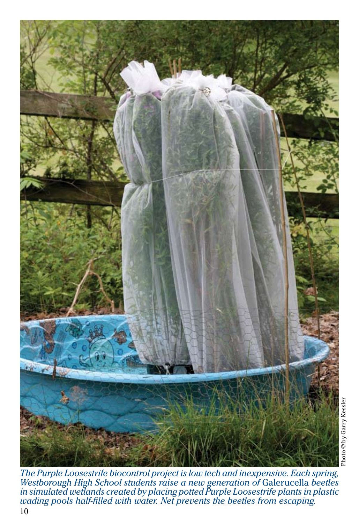![](_page_6_Picture_0.jpeg)

10 *The Purple Loosestrife biocontrol project is low tech and inexpensive. Each spring, Westborough High School students raise a new generation of* Galerucella *beetles in simulated wetlands created by placing potted Purple Loosestrife plants in plastic wading pools half-filled with water. Net prevents the beetles from escaping.*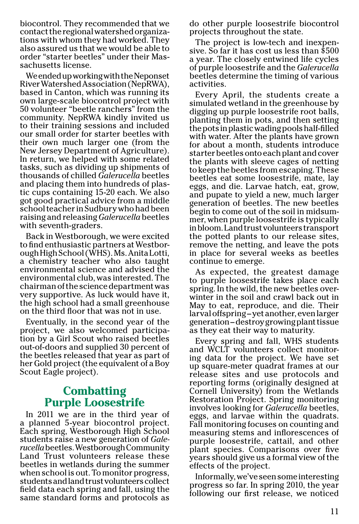biocontrol. They recommended that we contact the regional watershed organiza- tions with whom they had worked. They also assured us that we would be able to order "starter beetles" under their Mas- sachusetts license.

We ended up working with the Neponset River Watershed Association (NepRWA), based in Canton, which was running its own large-scale biocontrol project with 50 volunteer "beetle ranchers" from the community. NepRWA kindly invited us to their training sessions and included our small order for starter beetles with their own much larger one (from the New Jersey Department of Agriculture). In return, we helped with some related tasks, such as dividing up shipments of thousands of chilled *Galerucella* beetles and placing them into hundreds of plastic cups containing 15-20 each. We also got good practical advice from a middle school teacher in Sudbury who had been raising and releasing *Galerucella* beetles with seventh-graders.

Back in Westborough, we were excited to find enthusiastic partners at Westborough High School (WHS). Ms. Anita Lotti, a chemistry teacher who also taught environmental science and advised the environmental club, was interested. The chairman of the science department was very supportive. As luck would have it, the high school had a small greenhouse on the third floor that was not in use.

Eventually, in the second year of the project, we also welcomed participation by a Girl Scout who raised beetles out-of-doors and supplied 30 percent of the beetles released that year as part of her Gold project (the equivalent of a Boy Scout Eagle project).

## **Combatting Purple Loosestrife**

In 2011 we are in the third year of a planned 5-year biocontrol project. Each spring, Westborough High School students raise a new generation of *Galerucella* beetles. Westborough Community Land Trust volunteers release these beetles in wetlands during the summer when school is out. To monitor progress, students and land trust volunteers collect field data each spring and fall, using the same standard forms and protocols as

do other purple loosestrife biocontrol projects throughout the state.

The project is low-tech and inexpen- sive. So far it has cost us less than \$500 a year. The closely entwined life cycles of purple loosestrife and the *Galerucella* beetles determine the timing of various activities.

Every April, the students create a simulated wetland in the greenhouse by digging up purple loosestrife root balls, planting them in pots, and then setting the pots in plastic wading pools half-filled with water. After the plants have grown for about a month, students introduce starter beetles onto each plant and cover the plants with sleeve cages of netting to keep the beetles from escaping. These beetles eat some loosestrife, mate, lay eggs, and die. Larvae hatch, eat, grow, and pupate to yield a new, much larger generation of beetles. The new beetles begin to come out of the soil in midsummer, when purple loosestrife is typically in bloom. Land trust volunteers transport the potted plants to our release sites, remove the netting, and leave the pots in place for several weeks as beetles continue to emerge.

As expected, the greatest damage to purple loosestrife takes place each spring. In the wild, the new beetles overwinter in the soil and crawl back out in May to eat, reproduce, and die. Their larval offspring – yet another, even larger generation – destroy growing plant tissue as they eat their way to maturity.

Every spring and fall, WHS students<br>and WCLT volunteers collect monitoring data for the project. We have set up square-meter quadrat frames at our release sites and use protocols and reporting forms (originally designed at Cornell University) from the Wetlands Restoration Project. Spring monitoring involves looking for *Galerucella* beetles, eggs, and larvae within the quadrats. Fall monitoring focuses on counting and measuring stems and inflorescences of purple loosestrife, cattail, and other plant species. Comparisons over five years should give us a formal view of the effects of the project.

Informally, we've seen some interesting progress so far. In spring 2010, the year following our first release, we noticed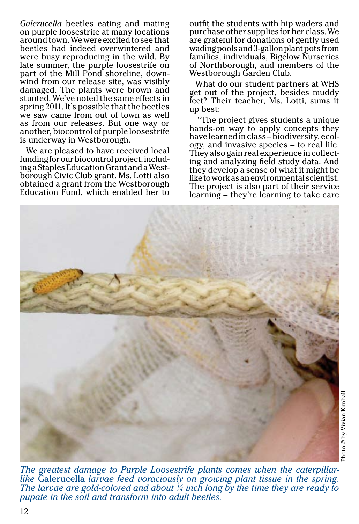*Galerucella* beetles eating and mating on purple loosestrife at many locations around town. We were excited to see that beetles had indeed overwintered and were busy reproducing in the wild. By late summer, the purple loosestrife on part of the Mill Pond shoreline, downwind from our release site, was visibly damaged. The plants were brown and stunted. We've noted the same effects in spring 2011. It's possible that the beetles we saw came from out of town as well as from our releases. But one way or another, biocontrol of purple loosestrife is underway in Westborough.

We are pleased to have received local funding for our biocontrol project, including a Staples Education Grant and a Westborough Civic Club grant. Ms. Lotti also obtained a grant from the Westborough Education Fund, which enabled her to outfit the students with hip waders and purchase other supplies for her class. We are grateful for donations of gently used wading pools and 3-gallon plant pots from families, individuals, Bigelow Nurseries of Northborough, and members of the Westborough Garden Club.

What do our student partners at WHS get out of the project, besides muddy feet? Their teacher, Ms. Lotti, sums it up best:

"The project gives students a unique hands-on way to apply concepts they have learned in class – biodiversity, ecology, and invasive species – to real life. They also gain real experience in collecting and analyzing field study data. And they develop a sense of what it might be like to work as an environmental scientist. The project is also part of their service learning – they're learning to take care

![](_page_8_Picture_5.jpeg)

*The greatest damage to Purple Loosestrife plants comes when the caterpillarlike* Galerucella *larvae feed voraciously on growing plant tissue in the spring. The larvae are gold-colored and about ¼ inch long by the time they are ready to pupate in the soil and transform into adult beetles.*